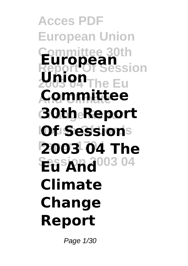**Acces PDF European Union Committee 30th European** <u>Lesion</u> **2003 04 The Eu Union And Climate Committee Change Report 30th Report IOf Sessions Paper 179 I 2003 04 The Eu And**<sup>003</sup> 04 **Climate Change Report**

Page 1/30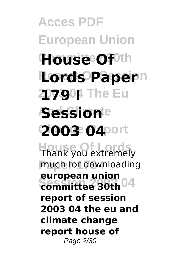**Acces PDF European Union House Of**<sup>0th</sup> **Report Of Session Lords Paper** 20790| The Eu **Session**te **Change Report 2003 04 House Of Lords** Thank you extremely **Paper 179 I** much for downloading **Session 2003 04 committee 30th european union report of session 2003 04 the eu and climate change report house of** Page 2/30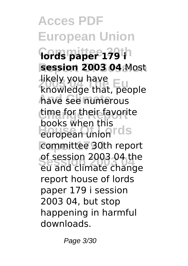**Acces PDF European Union Committee 30th lords paper 179 i session 2003 04.Most 2003 04 The Eu** knowledge that, people **And Climate** have see numerous time for their favorite **EUROPEAN UNION TOLS** committee 30th report **Session 2003 04** eu and climate change likely you have books when this of session 2003 04 the report house of lords paper 179 i session 2003 04, but stop happening in harmful downloads.

Page 3/30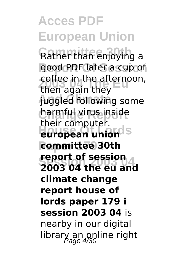**Acces PDF European Union** Rather than enjoying a good PDF later a cup of **2005** coffee in the afternoon, **And Climate** juggled following some **Change Report** harmful virus inside **european union Paper 179 I committee 30th Session 2003 04 2003 04 the eu and** then again they their computer. **report of session climate change report house of lords paper 179 i session 2003 04** is nearby in our digital library an online right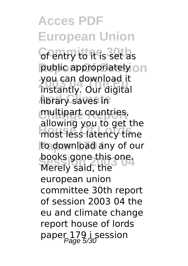**Acces PDF European Union Commy to it is set as** public appropriately on **2003 04 The Eu** instantly. Our digital **Abrary saves in Change Report** multipart countries, **House Of Lords** most less latency time to download any of our books gone this one.<br>Morely said, the you can download it allowing you to get the Merely said, the european union committee 30th report of session 2003 04 the eu and climate change report house of lords paper 179 i session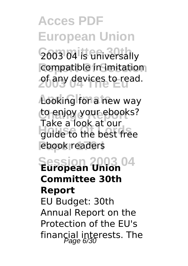**Acces PDF European Union 2003 04 is universally** compatible in imitation **2003 devices to read.** 

**Looking for a new way** to enjoy your ebooks? **House of Local Contract on** ebook readers Take a look at our

**Session 2003 04 European Union Committee 30th Report** EU Budget: 30th Annual Report on the Protection of the EU's financial interests. The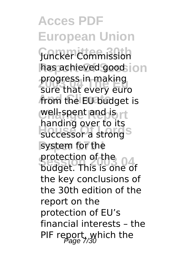**Acces PDF European Union Committee 30th** Juncker Commission has achieved good ion **2003 04 The Eu** sure that every euro from the EU budget is **well-spent and is rt House OF LOTES** system for the **protection of the 04** progress in making handing over to its budget. This is one of the key conclusions of the 30th edition of the report on the protection of EU's financial interests – the PIF report, which the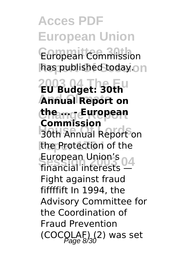**Acces PDF European Union** European Commission has published today.on **2003 04 The Eu EU Budget: 30th Annual Report on Change Report the ... - European House Commission** the Protection of the European Union's<br>Financial interests **Commission** financial interests — Fight against fraud fiffffift In 1994, the Advisory Committee for the Coordination of Fraud Prevention  $(COCOLAF)$  $(2)$  was set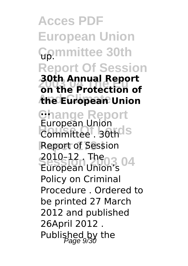**Acces PDF European Union Committee 30th** up. **Report Of Session 2003 04 The Eu on the Protection of And Climate the European Union Change Report ...** Ediopedia Official S **Report of Session Session 2003 04** 2010–12 . The **30th Annual Report** European Union European Union's Policy on Criminal Procedure . Ordered to be printed 27 March 2012 and published 26April 2012 . Published by the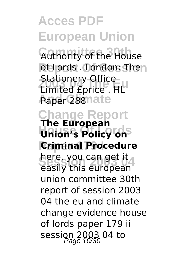**Acces PDF European Union Authority of the House** of Lords . London: Then **2006 2006 2016**<br>Limited £price . HL **Paper 288 nate Change Report Union's Policy on Criminal Procedure** nere, you can get it<br>easily this european Stationery Office **The European** here, you can get it union committee 30th report of session 2003 04 the eu and climate change evidence house of lords paper 179 ii session 2003 04 to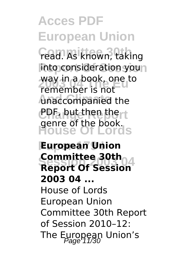**Acces PDF European Union Fead. As known, taking** into consideration you way in a book, one to<br>remember is not **And Climate** unaccompanied the **CPF, but then then t** genre of the book.<br>House Of Lords remember is not

*<u>European</u>* Union **Committee Suth 4**<br>Report Of Session **Committee 30th 2003 04 ...** House of Lords European Union Committee 30th Report of Session 2010–12: The European Union's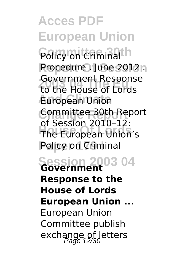**Acces PDF European Union Policy on Criminalth Procedure** . June 2012 n **2003 04 The Eu** to the House of Lords **And Climate** European Union **Change Report** Committee 30th Report **House Of Lords** The European Union's **Policy on Criminal Session 2003 04 Government** Government Response of Session 2010–12: **Response to the House of Lords European Union ...** European Union

Committee publish exchange of letters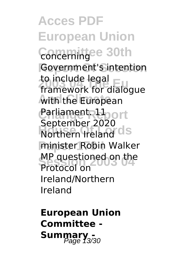**Acces PDF European Union** Concerningee 30th Government's intention **20 Include legal**<br>framework for dialogue **With the European Carliament Uport Northern Ireland CIS Paper 179 I** minister Robin Walker **MP** questioned on the to include legal September 2020 Protocol on Ireland/Northern Ireland

**European Union Committee - Summary**<sub>3/30</sub>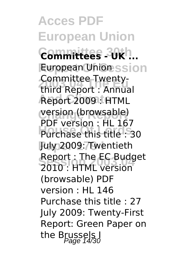**Acces PDF European Union Committee 30th Committees - UK ... European Unionssion 2003 04 The Eu** third Report : Annual **And Climate** Report 2009 : HTML version (browsable) Purchase this title : 30 **Paper 179 I** July 2009: Twentieth **Session 2003 04** 2010 : HTML version Committee Twenty-PDF version : HL 167 Report : The EC Budget (browsable) PDF version : HL 146 Purchase this title : 27 July 2009: Twenty-First Report: Green Paper on the Brussels I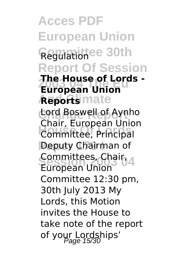**Acces PDF European Union Committee 30th** Regulation **Report Of Session 2003 04 The Eu European Union Reports** mate **Change Report** Lord Boswell of Aynho **House Of Lords** Committee, Principal **Peputy Chairman of Session 2003 04** European Union **The House of Lords -** Chair, European Union Committees, Chair, Committee 12:30 pm, 30th July 2013 My Lords, this Motion invites the House to take note of the report of your Lordships'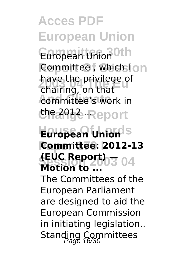**Acces PDF European Union** European Union Oth **Committee**, which I on **2003 04 The Eu** chairing, on that committee's work in **ርካ**ኖራባ<del>]</del>& Report have the privilege of

#### **European Union Paper 179 I Committee: 2012-13 Session 2003 04 (EUC Report) — Motion to ...**

The Committees of the European Parliament are designed to aid the European Commission in initiating legislation.. Standing Committees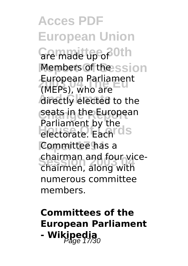**Acces PDF European Union** Gre made up of <sup>Oth</sup> Members of the ssion **European Parliament**<br> *I*MEP<sub>E</sub>) who are **directly** elected to the **Ceats in the European Homewhere** By the **Committee has a Session 2003 04** chairmen, along with (MEPs), who are Parliament by the chairman and four vicenumerous committee members.

### **Committees of the European Parliament - Wikipedia**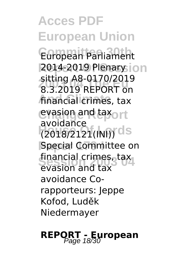**Acces PDF European Union** European Parliament **2014-2019 Plenary ion 2003 04 The Eu** 8.3.2019 REPORT on financial crimes, tax **evasion and taxort House Of Lords** (2018/2121(INI)) **Special Committee on** financial crimes, tax sitting A8-0170/2019 avoidance evasion and tax avoidance Corapporteurs: Jeppe Kofod, Luděk Niedermayer

## **REPORT - European**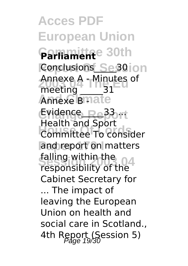**Acces PDF European Union Committee 30th Parliament Conclusions** Se30 ion Annexe A - Minutes of Annexe Bmate Evidence\_Re<sup>33</sup> rt **House Of Lords** Committee To consider and report on matters **Session 2003 04** responsibility of the meeting 31 Health and Sport falling within the Cabinet Secretary for ... The impact of leaving the European Union on health and social care in Scotland., 4th Report (Session 5)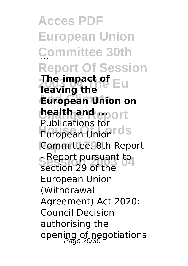**Acces PDF European Union Committee 30th** ... **Report Of Session 7he impact of Eur**<br>Teaving the **And Climate European Union on health and eport House Controls** Committee. 8th Report **Seport pursuant to leaving the** Publications for section 29 of the European Union (Withdrawal Agreement) Act 2020: Council Decision authorising the opening of negotiations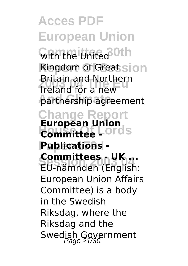**Acces PDF European Union** With the United <sup>30th</sup> **Kingdom of Great sion 2003 04 The Eu** Ireland for a new **And Climate** partnership agreement **Change Report European Union<br>Committee LO**rdS **Paper 179 I Publications - Committees - UK ...**<br>EU pămpder (English Britain and Northern **Committee -** EU-nämnden (English: European Union Affairs Committee) is a body in the Swedish Riksdag, where the Riksdag and the Swedish Government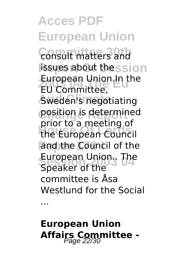**Acces PDF European Union Consult matters and** issues about thession **European Union.In the**<br>EU Committee **Sweden's negotiating Change Report** position is determined **House Of Lords** the European Council and the Council of the European Union.. The EU Committee, prior to a meeting of Speaker of the committee is Åsa Westlund for the Social

...

**European Union** Affairs Committee -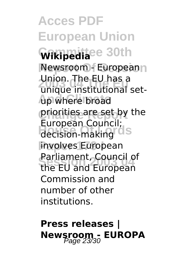**Acces PDF European Union Committee 30th Wikipedia Newsroom - Europeann 2003 04 The Eu** unique institutional set-**And Climate** up where broad **priorities are set by the** Laropean Council, involves European **Session 2003 04** the EU and European Union. The EU has a European Council; Parliament, Council of Commission and number of other institutions.

## **Press releases | Newsroom - EUROPA**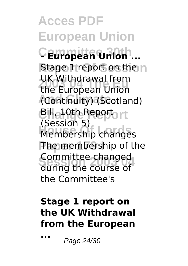**Acces PDF European Union Committee 30th - European Union ... Stage 1 report on the n 2003 04 The Eu** the European Union **And Climate** (Continuity) (Scotland) **C**illa10th Report **Membership changes The membership of the Session 2003 04** during the course of UK Withdrawal from (Session 5) Committee changed the Committee's

#### **Stage 1 report on the UK Withdrawal from the European**

**...** Page 24/30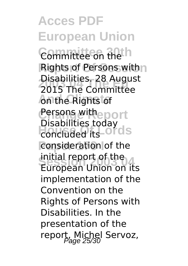**Acces PDF European Union Committee 30th** Committee on the **Rights of Persons with n 2003 04 The Eu** 2015 The Committee **An the Rights of Chrangwitheport** Disabilities today<br>concluded its OLOS consideration of the **Fritual report of the**<br>European Union on its Disabilities. 28 August concluded its initial report of the implementation of the Convention on the Rights of Persons with Disabilities. In the presentation of the report, Michel Servoz,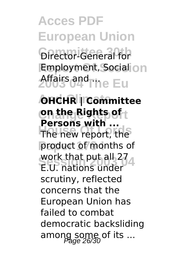# **Acces PDF European Union**

**Director-General for Employment, Social on** 2003 04<sup>d</sup>The Eu

**And Climate OHCHR | Committee On the Rights of** t **The new report, the** product of months of **Separate Blue and 21**<br>E.U. nations under **Persons with ...** work that put all 27 scrutiny, reflected concerns that the European Union has failed to combat democratic backsliding among some of its ...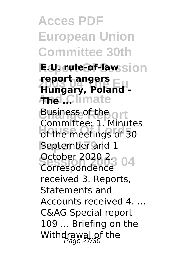**Acces PDF European Union Committee 30th Report Of Session E.U. rule-of-law 2003 04 The Eu Hungary, Poland - And Climate The ... Change Report** Business of the **Committee:** 1: Mindee **September and 1** October 2020 2<sub>3</sub> 04 **report angers** Committee: 1. Minutes Correspondence received 3. Reports, Statements and Accounts received 4. ... C&AG Special report 109 ... Briefing on the Withdrawal of the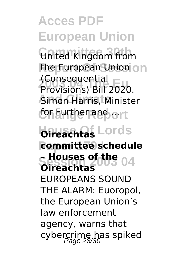**Acces PDF European Union Committee 30th** United Kingdom from the European Union on **2003 04 The Eu** Provisions) Bill 2020. **Simon Harris, Minister** ton Eurther and ort **Househtas** Lords **Paper 179 I committee schedule Session 2003 04 – Houses of the** (Consequential **Oireachtas** EUROPEANS SOUND THE ALARM: Euoropol, the European Union's law enforcement agency, warns that cybercrime has spiked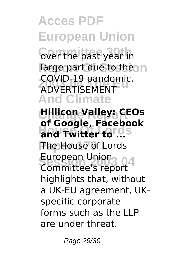**Acces PDF European Union Cover the past year in** large part due to the n **2003 04 The Eu** ADVERTISEMENT **And Climate Change Report Hillicon Valley: CEOs** and Twitter to ... **The House of Lords** European Union<br>Committee's report COVID-19 pandemic. **of Google, Facebook** European Union highlights that, without a UK-EU agreement, UKspecific corporate forms such as the LLP are under threat.

Page 29/30